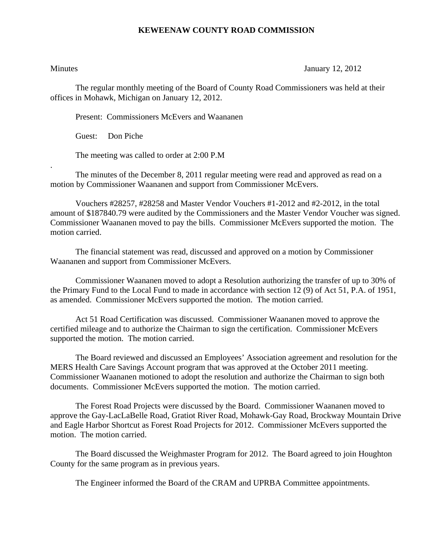## **KEWEENAW COUNTY ROAD COMMISSION**

.

Minutes January 12, 2012

The regular monthly meeting of the Board of County Road Commissioners was held at their offices in Mohawk, Michigan on January 12, 2012.

Present: Commissioners McEvers and Waananen

Guest: Don Piche

The meeting was called to order at 2:00 P.M

 The minutes of the December 8, 2011 regular meeting were read and approved as read on a motion by Commissioner Waananen and support from Commissioner McEvers.

 Vouchers #28257, #28258 and Master Vendor Vouchers #1-2012 and #2-2012, in the total amount of \$187840.79 were audited by the Commissioners and the Master Vendor Voucher was signed. Commissioner Waananen moved to pay the bills. Commissioner McEvers supported the motion. The motion carried.

 The financial statement was read, discussed and approved on a motion by Commissioner Waananen and support from Commissioner McEvers.

 Commissioner Waananen moved to adopt a Resolution authorizing the transfer of up to 30% of the Primary Fund to the Local Fund to made in accordance with section 12 (9) of Act 51, P.A. of 1951, as amended. Commissioner McEvers supported the motion. The motion carried.

 Act 51 Road Certification was discussed. Commissioner Waananen moved to approve the certified mileage and to authorize the Chairman to sign the certification. Commissioner McEvers supported the motion. The motion carried.

 The Board reviewed and discussed an Employees' Association agreement and resolution for the MERS Health Care Savings Account program that was approved at the October 2011 meeting. Commissioner Waananen motioned to adopt the resolution and authorize the Chairman to sign both documents. Commissioner McEvers supported the motion. The motion carried.

 The Forest Road Projects were discussed by the Board. Commissioner Waananen moved to approve the Gay-LacLaBelle Road, Gratiot River Road, Mohawk-Gay Road, Brockway Mountain Drive and Eagle Harbor Shortcut as Forest Road Projects for 2012. Commissioner McEvers supported the motion. The motion carried.

 The Board discussed the Weighmaster Program for 2012. The Board agreed to join Houghton County for the same program as in previous years.

The Engineer informed the Board of the CRAM and UPRBA Committee appointments.